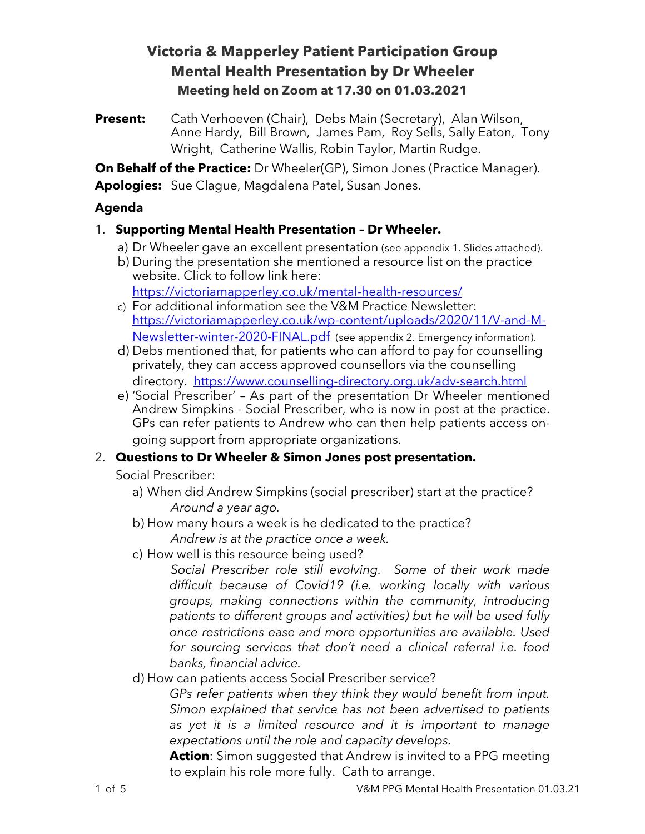# **Victoria & Mapperley Patient Participation Group Mental Health Presentation by Dr Wheeler Meeting held on Zoom at 17.30 on 01.03.2021**

**Present:** Cath Verhoeven (Chair), Debs Main (Secretary), Alan Wilson, Anne Hardy, Bill Brown, James Pam, Roy Sells, Sally Eaton, Tony Wright, Catherine Wallis, Robin Taylor, Martin Rudge.

**On Behalf of the Practice:** Dr Wheeler(GP), Simon Jones (Practice Manager).

**Apologies:** Sue Clague, Magdalena Patel, Susan Jones.

## **Agenda**

## 1. **Supporting Mental Health Presentation – Dr Wheeler.**

- a) Dr Wheeler gave an excellent presentation (see appendix 1. Slides attached).
- b) During the presentation she mentioned a resource list on the practice website. Click to follow link here:

https://victoriamapperley.co.uk/mental-health-resources/

- c) For additional information see the V&M Practice Newsletter: https://victoriamapperley.co.uk/wp-content/uploads/2020/11/V-and-M-Newsletter-winter-2020-FINAL.pdf (see appendix 2. Emergency information).
- d) Debs mentioned that, for patients who can afford to pay for counselling privately, they can access approved counsellors via the counselling directory. https://www.counselling-directory.org.uk/adv-search.html
- e) 'Social Prescriber' As part of the presentation Dr Wheeler mentioned Andrew Simpkins - Social Prescriber, who is now in post at the practice. GPs can refer patients to Andrew who can then help patients access ongoing support from appropriate organizations.

# 2. **Questions to Dr Wheeler & Simon Jones post presentation.**

Social Prescriber:

- a) When did Andrew Simpkins (social prescriber) start at the practice? *Around a year ago.*
- b) How many hours a week is he dedicated to the practice? *Andrew is at the practice once a week.*
- c) How well is this resource being used?

*Social Prescriber role still evolving. Some of their work made difficult because of Covid19 (i.e. working locally with various groups, making connections within the community, introducing patients to different groups and activities) but he will be used fully once restrictions ease and more opportunities are available. Used for sourcing services that don't need a clinical referral i.e. food banks, financial advice.* 

d) How can patients access Social Prescriber service?

*GPs refer patients when they think they would benefit from input. Simon explained that service has not been advertised to patients as yet it is a limited resource and it is important to manage expectations until the role and capacity develops.* 

**Action**: Simon suggested that Andrew is invited to a PPG meeting to explain his role more fully. Cath to arrange.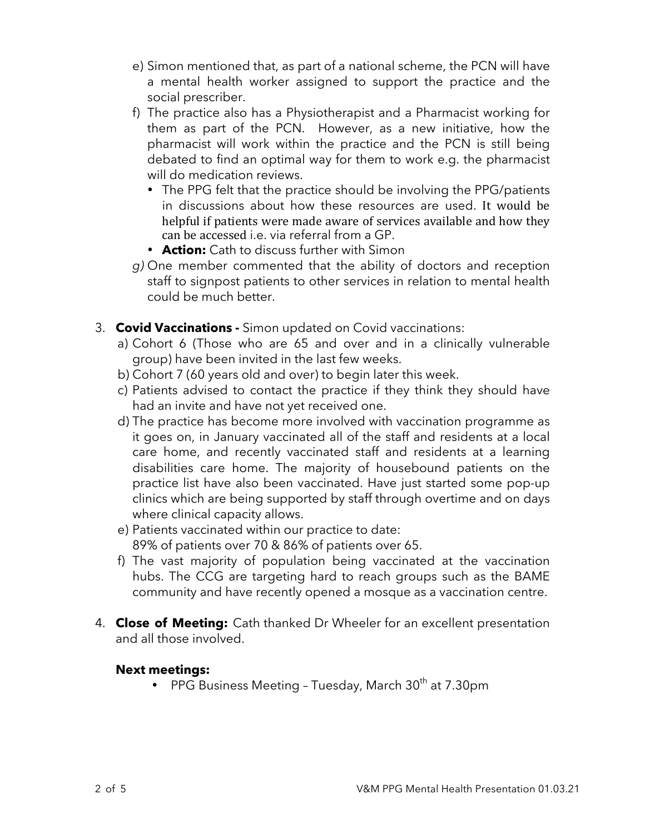- e) Simon mentioned that, as part of a national scheme, the PCN will have a mental health worker assigned to support the practice and the social prescriber.
- f) The practice also has a Physiotherapist and a Pharmacist working for them as part of the PCN. However, as a new initiative, how the pharmacist will work within the practice and the PCN is still being debated to find an optimal way for them to work e.g. the pharmacist will do medication reviews.
	- The PPG felt that the practice should be involving the PPG/patients in discussions about how these resources are used. It would be helpful if patients were made aware of services available and how they can be accessed i.e. via referral from a GP.
	- **Action:** Cath to discuss further with Simon
- *g)* One member commented that the ability of doctors and reception staff to signpost patients to other services in relation to mental health could be much better.
- 3. **Covid Vaccinations -** Simon updated on Covid vaccinations:
	- a) Cohort 6 (Those who are 65 and over and in a clinically vulnerable group) have been invited in the last few weeks.
	- b) Cohort 7 (60 years old and over) to begin later this week.
	- c) Patients advised to contact the practice if they think they should have had an invite and have not yet received one.
	- d) The practice has become more involved with vaccination programme as it goes on, in January vaccinated all of the staff and residents at a local care home, and recently vaccinated staff and residents at a learning disabilities care home. The majority of housebound patients on the practice list have also been vaccinated. Have just started some pop-up clinics which are being supported by staff through overtime and on days where clinical capacity allows.
	- e) Patients vaccinated within our practice to date: 89% of patients over 70 & 86% of patients over 65.
	- f) The vast majority of population being vaccinated at the vaccination hubs. The CCG are targeting hard to reach groups such as the BAME community and have recently opened a mosque as a vaccination centre.
- 4. **Close of Meeting:** Cath thanked Dr Wheeler for an excellent presentation and all those involved.

#### **Next meetings:**

• PPG Business Meeting - Tuesday, March  $30<sup>th</sup>$  at 7.30pm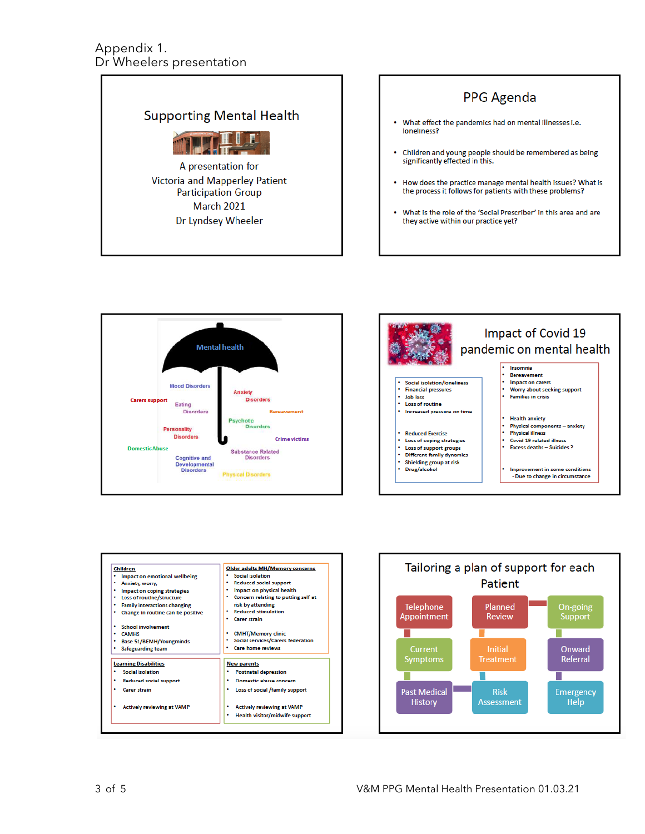#### Appendix 1. Dr Wheelers presentation









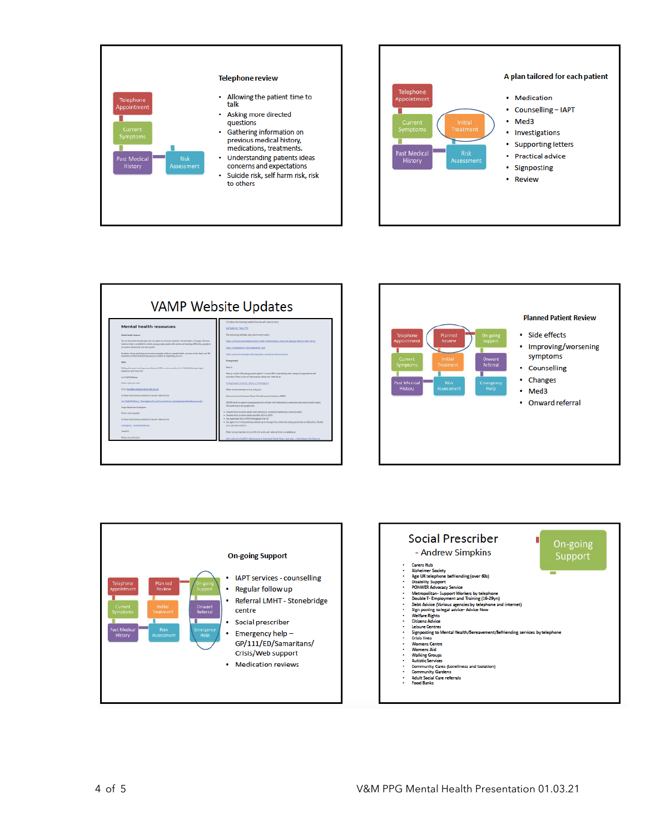



| <b>VAMP Website Updates</b>                                                                                                                                                                                 |                                                                                                                                                                           |
|-------------------------------------------------------------------------------------------------------------------------------------------------------------------------------------------------------------|---------------------------------------------------------------------------------------------------------------------------------------------------------------------------|
| <b>Mental health resources</b>                                                                                                                                                                              | Oriolier the following weblink for the self-oriental ferm                                                                                                                 |
|                                                                                                                                                                                                             | Self Believal (There PIS)                                                                                                                                                 |
| <b>Honor books</b> encourage                                                                                                                                                                                | The following subdistic test photoe way useful                                                                                                                            |
| The ancorporation the pacture has also to colorsony poleral memorically, of all app. We have<br>looked stratest in multiplierity adults, someonough county with automated learning difficulties, exceeds in | просурованных мнен, мнен члав сывесствую технологию дологи таких васил                                                                                                    |
| as abust a telebracing and new panels.<br>Authors, if you are better over over estuardes with you week! both h, we are in her from you. The                                                                 | DESCRIPTIONS INTO THE REAL PROPERTY.                                                                                                                                      |
| hare that rowlind the belowing neourse: heighel in supporting routses.                                                                                                                                      | одосудоводных хорошоскующие необхода поэми-рази;                                                                                                                          |
| <b>ABOV</b>                                                                                                                                                                                                 | <b>Trangement</b>                                                                                                                                                         |
| Table of severity including compelling and CRT can be a compelled Lat's Table Wellstree English-<br><b>MARINER HAT THEFT YES</b>                                                                            | <b>Barr</b> fa                                                                                                                                                            |
| Let's Talk Wellbang                                                                                                                                                                                         | lines you works with your grown decayed in 15,000 effect counterfling and a sange of youge course and<br>activities. There is late of information about self-referred at- |
| <b>Thomas (Estat scientists)</b>                                                                                                                                                                            | Young Dopla's Duntity   Base 31   Noticegham                                                                                                                              |
| Enal: lessales enteghanghamilicatuale                                                                                                                                                                       | Their contact member is line; (cyligida)                                                                                                                                  |
| Of faller the following suddist; for the self-index artists                                                                                                                                                 | Astronomiani Dentena Zenin Peuth teurs Mettechen (XIMT)                                                                                                                   |
| Let Call/Priling - Satispher Dig and Larry Service particular distribution of a 40                                                                                                                          | SEPM merkits support poung prospicant children with behavioural, emotional and mercal boatth needs.<br>This patiewer is the people where                                  |
| Imaget Olandi Accord Kontractions                                                                                                                                                                           |                                                                                                                                                                           |
| Dhone more seasofts                                                                                                                                                                                         | . Depart with coveres about their bahavious, amotional wellbeing or mercal boat to<br>a Depart with origins about possible JS3 or JJPE)                                   |
| Of faller the following varieties for the self-independent                                                                                                                                                  | · Are replicated with a NFS Northerland lite GP                                                                                                                           |
| Nekleybarn - Jenight Healthcare                                                                                                                                                                             | - An april e so 6 checerivos examb aprocho aprofita when the teer, person has an Education, Basith<br>and Cost Plans (1907)).                                             |
| <b>Tower 27%</b>                                                                                                                                                                                            | Their connect number is story festivered and a self-oriental form is available at:                                                                                        |
| Those much is play                                                                                                                                                                                          | 545-referral to GARES : Behavioural & Experient Hallth Team Link Lion - Vontigdam/On Discours                                                                             |